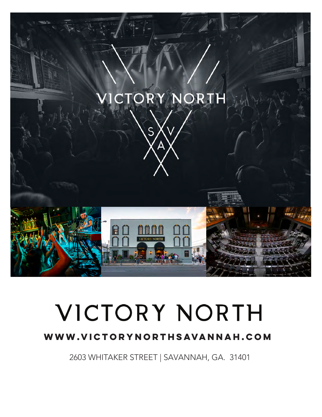

# VICTORY NORTH

# **www.victorynorthsavannah.com**

2603 WHITAKER STREET | SAVANNAH, GA. 31401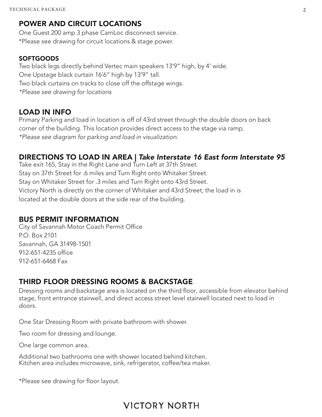## POWER AND CIRCUIT LOCATIONS

One Guest 200 amp 3 phase CamLoc disconnect service. \*Please see drawing for circuit locations & stage power.

#### **SOFTGOODS**

Two black legs directly behind Vertec main speakers 13'9" high, by 4' wide. One Upstage black curtain 16'6" high by 13'9" tall. Two black curtains on tracks to close off the offstage wings. *\*Please see drawing for locations*

#### LOAD IN INFO

Primary Parking and load in location is off of 43rd street through the double doors on back corner of the building. This location provides direct access to the stage via ramp. *\*Please see diagram for parking and load in visualization.*

## DIRECTIONS TO LOAD IN AREA | *Take Interstate 16 East form Interstate 95*

Take exit 165, Stay in the Right Lane and Turn Left at 37th Street. Stay on 37th Street for .6 miles and Turn Right onto Whitaker Street. Stay on Whitaker Street for .3 miles and Turn Right onto 43rd Street. Victory North is directly on the corner of Whitaker and 43rd Street, the load in is located at the double doors at the side rear of the building.

#### BUS PERMIT INFORMATION

City of Savannah Motor Coach Permit Office P.O. Box 2101 Savannah, GA 31498-1501 912-651-4235 office 912-651-6468 Fax

## THIRD FLOOR DRESSING ROOMS & BACKSTAGE

Dressing rooms and backstage area is located on the third floor, accessible from elevator behind stage, front entrance stairwell, and direct access street level stairwell located next to load in doors.

One Star Dressing Room with private bathroom with shower.

Two room for dressing and lounge.

One large common area.

Additional two bathrooms one with shower located behind kitchen. Kitchen area includes microwave, sink, refrigerator, coffee/tea maker.

\*Please see drawing for floor layout.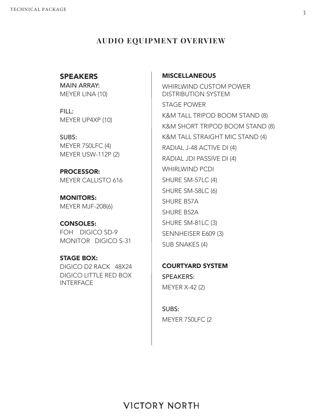## **AUDIO EQUIPMENT OVERVIEW**

## **SPEAKERS**

MAIN ARRAY: MEYER LINA (10)

FILL: MEYER UP4XP (10)

SUBS: MEYER 750LFC (4) MEYER USW-112P (2)

PROCESSOR: MEYER CALLISTO 616

MONITORS: MEYER MJF-208(6)

CONSOLES: FOH DIGICO SD-9 MONITOR DIGICO S-31

STAGE BOX: DIGICO D2 RACK 48X24 DIGICO LITTLE RED BOX **INTERFACE** 

#### **MISCELLANEOUS**

WHIRLWIND CUSTOM POWER DISTRIBUTION SYSTEM STAGE POWER K&M TALL TRIPOD BOOM STAND (8) K&M SHORT TRIPOD BOOM STAND (8) K&M TALL STRAIGHT MIC STAND (4) RADIAL J-48 ACTIVE DI (4) RADIAL JDI PASSIVE DI (4) WHIRLWIND PCDI SHURE SM-57LC (4) SHURE SM-58LC (6) SHURE B57A SHURE B52A SHURE SM-81LC (3) SENNHEISER E609 (3) SUB SNAKES (4)

COURTYARD SYSTEM SPEAKERS: MEYER X-42 (2)

SUBS: MEYER 750LFC (2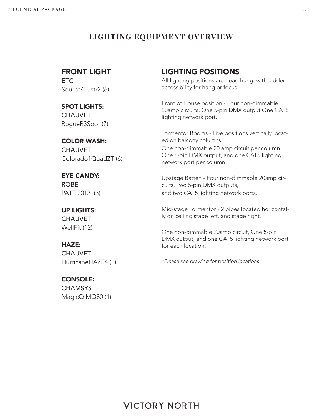## **LIGHTING EQUIPMENT OVERVIEW**

## FRONT LIGHT

ETC Source4Lustr2 (6)

### SPOT LIGHTS: **CHAUVET**

RogueR3Spot (7)

COLOR WASH: CHAUVET Colorado1QuadZT (6)

EYE CANDY: ROBE PATT 2013 (3)

UP LIGHTS: **CHAUVET** WellFit (12)

# HAZE:

**CHAUVET** HurricaneHAZE4 (1)

## CONSOLE: **CHAMSYS**

MagicQ MQ80 (1)

## LIGHTING POSITIONS

All lighting positions are dead hung, with ladder accessibility for hang or focus.

Front of House position - Four non-dimmable 20amp circuits, One 5-pin DMX output One CAT5 lighting network port.

Tormentor Booms - Five positions vertically located on balcony columns.

One non-dimmable 20 amp circuit per column. One 5-pin DMX output, and one CAT5 lighting network port per column.

Upstage Batten - Four non-dimmable 20amp circuits, Two 5-pin DMX outputs, and two CAT5 lighting network ports.

Mid-stage Tormentor - 2 pipes located horizontally on celling stage left, and stage right.

One non-dimmable 20amp circuit, One 5-pin DMX output, and one CAT5 lighting network port for each location.

*\*Please see drawing for position locations.*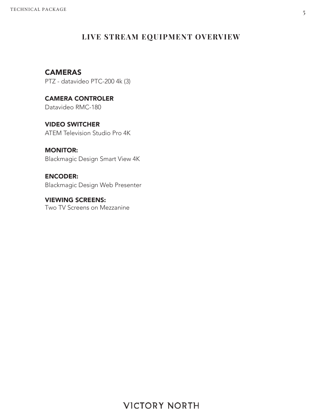## **LIVE STREAM EQUIPMENT OVERVIEW**

## **CAMERAS**

PTZ - datavideo PTC-200 4k (3)

CAMERA CONTROLER Datavideo RMC-180

VIDEO SWITCHER ATEM Television Studio Pro 4K

MONITOR: Blackmagic Design Smart View 4K

ENCODER: Blackmagic Design Web Presenter

VIEWING SCREENS: Two TV Screens on Mezzanine